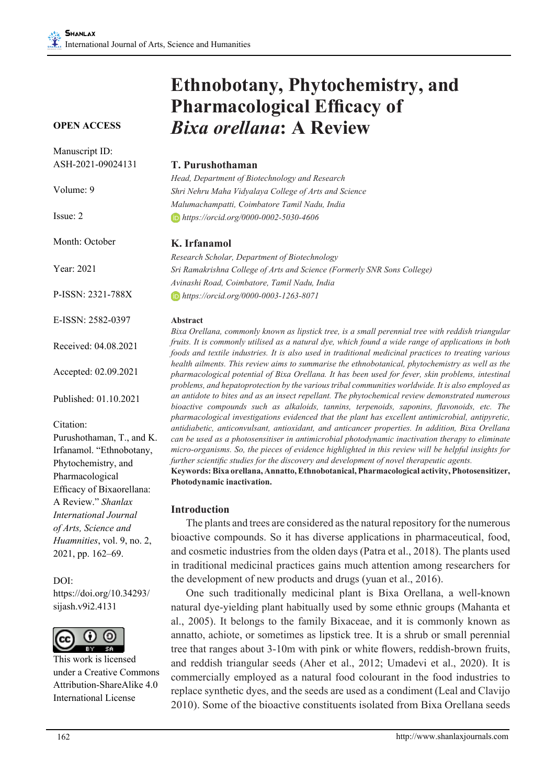#### **OPEN ACCESS**

| Manuscript ID:             |                                                                                          |  |  |
|----------------------------|------------------------------------------------------------------------------------------|--|--|
| ASH-2021-09024131          | T. Purushothaman                                                                         |  |  |
|                            | Head, Department of Biote                                                                |  |  |
| Volume: 9                  | Shri Nehru Maha Vidyalay                                                                 |  |  |
|                            | Malumachampatti, Coimba                                                                  |  |  |
| Issue: 2                   | https://orcid.org/0000-0                                                                 |  |  |
| Month: October             | K. Irfanamol                                                                             |  |  |
|                            | Research Scholar, Departr.                                                               |  |  |
| Year: 2021                 | Sri Ramakrishna College o                                                                |  |  |
|                            | Avinashi Road, Coimbator                                                                 |  |  |
| P-ISSN: 2321-788X          | https://orcid.org/0000-0                                                                 |  |  |
| E-ISSN: 2582-0397          | Abstract                                                                                 |  |  |
| Received: 04.08.2021       | Bixa Orellana, commonly<br>fruits. It is commonly utilis<br>foods and textile industrie. |  |  |
| Accepted: 02.09.2021       | health ailments. This revie<br>pharmacological potential<br>problems, and hepatoprote    |  |  |
| Published: 01.10.2021      | an antidote to bites and as<br>bioactive compounds suc                                   |  |  |
| Citation:                  | pharmacological investiga<br>antidiabetic, anticonvulsar                                 |  |  |
| Purushothaman, T., and K.  | can be used as a photosen.                                                               |  |  |
| Irfanamol. "Ethnobotany,   | micro-organisms. So, the $\mu$                                                           |  |  |
| Phytochemistry, and        | further scientific studies fo.                                                           |  |  |
| Pharmacological            | Keywords: Bixa orellana,                                                                 |  |  |
| Efficacy of Bixaorellana:  | Photodynamic inactivatio                                                                 |  |  |
| A Review." Shanlax         |                                                                                          |  |  |
| International Journal      | <b>Introduction</b>                                                                      |  |  |
| of Arts, Science and       | The plants and tree                                                                      |  |  |
| Huamnities, vol. 9, no. 2, | bioactive compounds                                                                      |  |  |
| 2021, pp. 162–69.          | and cosmetic industrie                                                                   |  |  |
|                            | in traditional medicir                                                                   |  |  |

DOI: https://doi.org/10.34293/ sijash.v9i2.4131



This work is licensed under a Creative Commons Attribution-ShareAlike 4.0 International License

# **Ethnobotany, Phytochemistry, and Pharmacological Efficacy of**  *Bixa orellana***: A Review**

*Head, Department of Biotechnology and Research Shri Nehru Maha Vidyalaya College of Arts and Science Malumachampatti, Coimbatore Tamil Nadu, India https://orcid.org/0000-0002-5030-4606*

*Research Scholar, Department of Biotechnology Sri Ramakrishna College of Arts and Science (Formerly SNR Sons College) Avinashi Road, Coimbatore, Tamil Nadu, India https://orcid.org/0000-0003-1263-8071*

*Bixa Orellana, commonly known as lipstick tree, is a small perennial tree with reddish triangular fruits. It is commonly utilised as a natural dye, which found a wide range of applications in both foods and textile industries. It is also used in traditional medicinal practices to treating various health ailments. This review aims to summarise the ethnobotanical, phytochemistry as well as the pharmacological potential of Bixa Orellana. It has been used for fever, skin problems, intestinal problems, and hepatoprotection by the various tribal communities worldwide. It is also employed as an insect repellant. The phytochemical review demonstrated numerous bioactive compounds such as alkaloids, tannins, terpenoids, saponins, flavonoids, etc. The pharmacological investigations evidenced that the plant has excellent antimicrobial, antipyretic, antidiabetic, anticonvulsant, antioxidant, and anticancer properties. In addition, Bixa Orellana can be used as a photosensitiser in antimicrobial photodynamic inactivation therapy to eliminate micro-organisms. So, the pieces of evidence highlighted in this review will be helpful insights for further discovery and development of novel therapeutic agents.* Annatto, Ethnobotanical, Pharmacological activity, Photosensitizer,

**Photodynamic inactivation.**

es are considered as the natural repository for the numerous  $b$ . So it has diverse applications in pharmaceutical, food, es from the olden days (Patra et al., 2018). The plants used tional medicinal practices gains much attention among researchers for the development of new products and drugs (yuan et al., 2016).

One such traditionally medicinal plant is Bixa Orellana, a well-known natural dye-yielding plant habitually used by some ethnic groups (Mahanta et al., 2005). It belongs to the family Bixaceae, and it is commonly known as annatto, achiote, or sometimes as lipstick tree. It is a shrub or small perennial tree that ranges about 3-10m with pink or white flowers, reddish-brown fruits, and reddish triangular seeds (Aher et al., 2012; Umadevi et al., 2020). It is commercially employed as a natural food colourant in the food industries to replace synthetic dyes, and the seeds are used as a condiment (Leal and Clavijo 2010). Some of the bioactive constituents isolated from Bixa Orellana seeds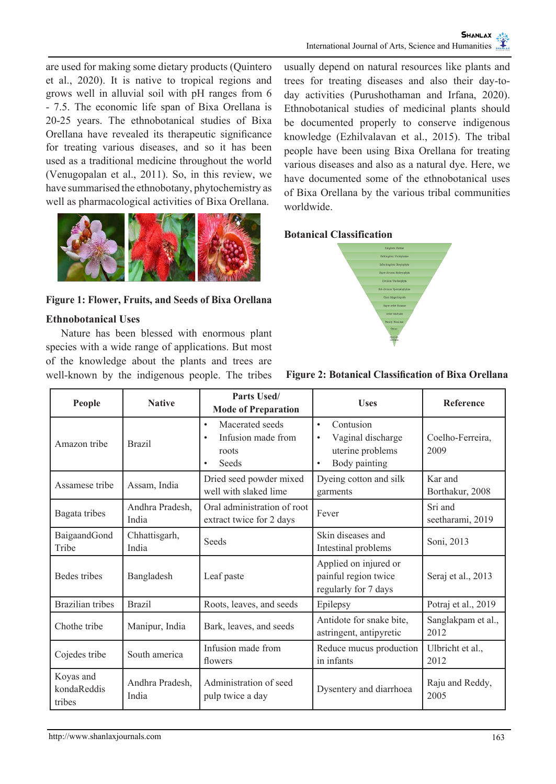are used for making some dietary products (Quintero et al., 2020). It is native to tropical regions and grows well in alluvial soil with pH ranges from 6 - 7.5. The economic life span of Bixa Orellana is 20-25 years. The ethnobotanical studies of Bixa Orellana have revealed its therapeutic significance for treating various diseases, and so it has been used as a traditional medicine throughout the world (Venugopalan et al., 2011). So, in this review, we have summarised the ethnobotany, phytochemistry as well as pharmacological activities of Bixa Orellana.



#### **Figure 1: Flower, Fruits, and Seeds of Bixa Orellana**

#### **Ethnobotanical Uses**

Nature has been blessed with enormous plant species with a wide range of applications. But most of the knowledge about the plants and trees are well-known by the indigenous people. The tribes usually depend on natural resources like plants and trees for treating diseases and also their day-today activities (Purushothaman and Irfana, 2020). Ethnobotanical studies of medicinal plants should be documented properly to conserve indigenous knowledge (Ezhilvalavan et al., 2015). The tribal people have been using Bixa Orellana for treating various diseases and also as a natural dye. Here, we have documented some of the ethnobotanical uses of Bixa Orellana by the various tribal communities worldwide.

#### **Botanical Classification**



| People                             | <b>Native</b>            | Parts Used/<br><b>Mode of Preparation</b>                                                      | <b>Uses</b>                                                                                                | Reference                   |
|------------------------------------|--------------------------|------------------------------------------------------------------------------------------------|------------------------------------------------------------------------------------------------------------|-----------------------------|
| Amazon tribe                       | <b>Brazil</b>            | Macerated seeds<br>$\bullet$<br>Infusion made from<br>$\bullet$<br>roots<br>Seeds<br>$\bullet$ | Contusion<br>$\bullet$<br>Vaginal discharge<br>$\bullet$<br>uterine problems<br>Body painting<br>$\bullet$ | Coelho-Ferreira,<br>2009    |
| Assamese tribe                     | Assam, India             | Dried seed powder mixed<br>well with slaked lime                                               | Dyeing cotton and silk<br>garments                                                                         | Kar and<br>Borthakur, 2008  |
| Bagata tribes                      | Andhra Pradesh,<br>India | Oral administration of root<br>extract twice for 2 days                                        | Fever                                                                                                      | Sri and<br>seetharami, 2019 |
| BaigaandGond<br>Tribe              | Chhattisgarh,<br>India   | Seeds                                                                                          | Skin diseases and<br>Intestinal problems                                                                   | Soni, 2013                  |
| Bedes tribes                       | Bangladesh               | Leaf paste                                                                                     | Applied on injured or<br>painful region twice<br>regularly for 7 days                                      | Seraj et al., 2013          |
| <b>Brazilian</b> tribes            | <b>Brazil</b>            | Roots, leaves, and seeds                                                                       | Epilepsy                                                                                                   | Potraj et al., 2019         |
| Chothe tribe                       | Manipur, India           | Bark, leaves, and seeds                                                                        | Antidote for snake bite,<br>astringent, antipyretic                                                        | Sanglakpam et al.,<br>2012  |
| Cojedes tribe                      | South america            | Infusion made from<br>flowers                                                                  | Reduce mucus production<br>in infants                                                                      | Ulbricht et al.,<br>2012    |
| Koyas and<br>kondaReddis<br>tribes | Andhra Pradesh,<br>India | Administration of seed<br>pulp twice a day                                                     | Dysentery and diarrhoea                                                                                    | Raju and Reddy,<br>2005     |

#### **Figure 2: Botanical Classification of Bixa Orellana**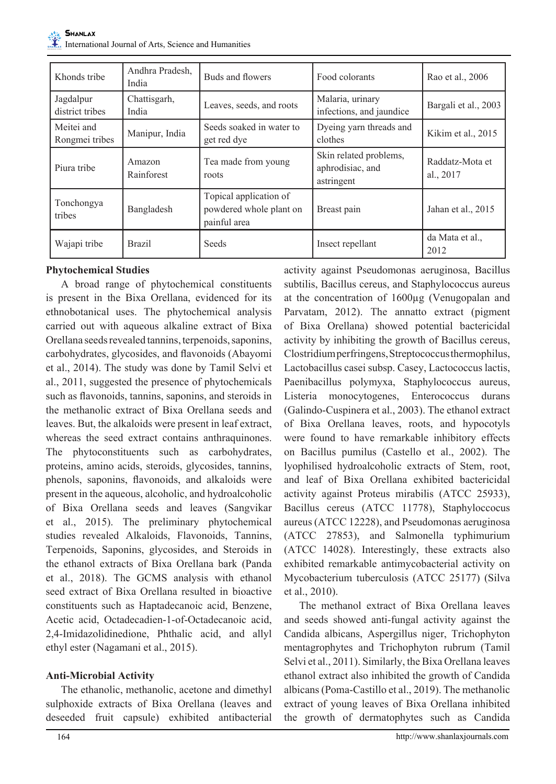| Khonds tribe                 | Andhra Pradesh,<br>India | Buds and flowers                                                  | Food colorants                                           | Rao et al., 2006             |
|------------------------------|--------------------------|-------------------------------------------------------------------|----------------------------------------------------------|------------------------------|
| Jagdalpur<br>district tribes | Chattisgarh,<br>India    | Leaves, seeds, and roots                                          | Malaria, urinary<br>infections, and jaundice             | Bargali et al., 2003         |
| Meitei and<br>Rongmei tribes | Manipur, India           | Seeds soaked in water to<br>get red dye                           | Dyeing yarn threads and<br>clothes                       | Kikim et al., 2015           |
| Piura tribe                  | Amazon<br>Rainforest     | Tea made from young<br>roots                                      | Skin related problems,<br>aphrodisiac, and<br>astringent | Raddatz-Mota et<br>al., 2017 |
| Tonchongya<br>tribes         | Bangladesh               | Topical application of<br>powdered whole plant on<br>painful area | Breast pain                                              | Jahan et al., 2015           |
| Wajapi tribe                 | <b>Brazil</b>            | <b>Seeds</b>                                                      | Insect repellant                                         | da Mata et al.<br>2012       |

#### **Phytochemical Studies**

A broad range of phytochemical constituents is present in the Bixa Orellana, evidenced for its ethnobotanical uses. The phytochemical analysis carried out with aqueous alkaline extract of Bixa Orellana seeds revealed tannins, terpenoids, saponins, carbohydrates, glycosides, and flavonoids (Abayomi et al., 2014). The study was done by Tamil Selvi et al., 2011, suggested the presence of phytochemicals such as flavonoids, tannins, saponins, and steroids in the methanolic extract of Bixa Orellana seeds and leaves. But, the alkaloids were present in leaf extract, whereas the seed extract contains anthraquinones. The phytoconstituents such as carbohydrates, proteins, amino acids, steroids, glycosides, tannins, phenols, saponins, flavonoids, and alkaloids were present in the aqueous, alcoholic, and hydroalcoholic of Bixa Orellana seeds and leaves (Sangvikar et al., 2015). The preliminary phytochemical studies revealed Alkaloids, Flavonoids, Tannins, Terpenoids, Saponins, glycosides, and Steroids in the ethanol extracts of Bixa Orellana bark (Panda et al., 2018). The GCMS analysis with ethanol seed extract of Bixa Orellana resulted in bioactive constituents such as Haptadecanoic acid, Benzene, Acetic acid, Octadecadien-1-of-Octadecanoic acid, 2,4-Imidazolidinedione, Phthalic acid, and allyl ethyl ester (Nagamani et al., 2015).

## **Anti-Microbial Activity**

The ethanolic, methanolic, acetone and dimethyl sulphoxide extracts of Bixa Orellana (leaves and deseeded fruit capsule) exhibited antibacterial activity against Pseudomonas aeruginosa, Bacillus subtilis, Bacillus cereus, and Staphylococcus aureus at the concentration of 1600µg (Venugopalan and Parvatam, 2012). The annatto extract (pigment of Bixa Orellana) showed potential bactericidal activity by inhibiting the growth of Bacillus cereus, Clostridium perfringens, Streptococcus thermophilus, Lactobacillus casei subsp. Casey, Lactococcus lactis, Paenibacillus polymyxa, Staphylococcus aureus, Listeria monocytogenes, Enterococcus durans (Galindo-Cuspinera et al., 2003). The ethanol extract of Bixa Orellana leaves, roots, and hypocotyls were found to have remarkable inhibitory effects on Bacillus pumilus (Castello et al., 2002). The lyophilised hydroalcoholic extracts of Stem, root, and leaf of Bixa Orellana exhibited bactericidal activity against Proteus mirabilis (ATCC 25933), Bacillus cereus (ATCC 11778), Staphyloccocus aureus (ATCC 12228), and Pseudomonas aeruginosa (ATCC 27853), and Salmonella typhimurium (ATCC 14028). Interestingly, these extracts also exhibited remarkable antimycobacterial activity on Mycobacterium tuberculosis (ATCC 25177) (Silva et al., 2010).

The methanol extract of Bixa Orellana leaves and seeds showed anti-fungal activity against the Candida albicans, Aspergillus niger, Trichophyton mentagrophytes and Trichophyton rubrum (Tamil Selvi et al., 2011). Similarly, the Bixa Orellana leaves ethanol extract also inhibited the growth of Candida albicans (Poma-Castillo et al., 2019). The methanolic extract of young leaves of Bixa Orellana inhibited the growth of dermatophytes such as Candida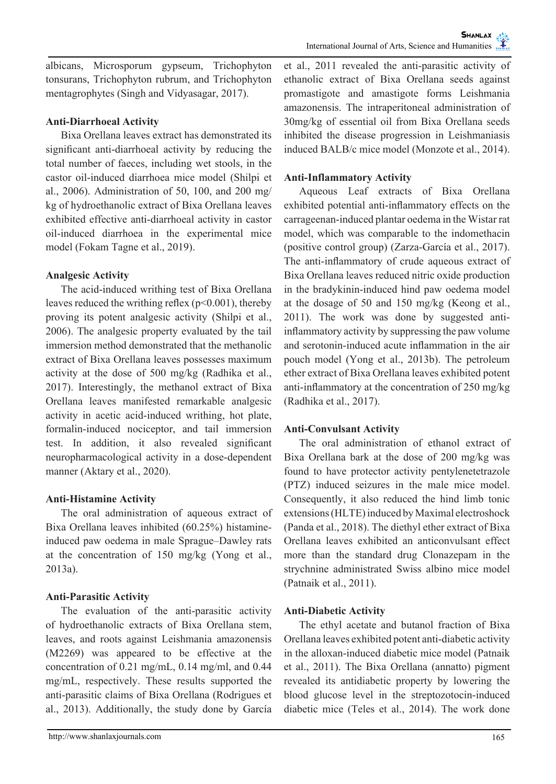albicans, Microsporum gypseum, Trichophyton tonsurans, Trichophyton rubrum, and Trichophyton mentagrophytes (Singh and Vidyasagar, 2017).

## **Anti-Diarrhoeal Activity**

Bixa Orellana leaves extract has demonstrated its significant anti-diarrhoeal activity by reducing the total number of faeces, including wet stools, in the castor oil-induced diarrhoea mice model (Shilpi et al., 2006). Administration of 50, 100, and 200 mg/ kg of hydroethanolic extract of Bixa Orellana leaves exhibited effective anti-diarrhoeal activity in castor oil-induced diarrhoea in the experimental mice model (Fokam Tagne et al., 2019).

# **Analgesic Activity**

The acid-induced writhing test of Bixa Orellana leaves reduced the writhing reflex ( $p<0.001$ ), thereby proving its potent analgesic activity (Shilpi et al., 2006). The analgesic property evaluated by the tail immersion method demonstrated that the methanolic extract of Bixa Orellana leaves possesses maximum activity at the dose of 500 mg/kg (Radhika et al., 2017). Interestingly, the methanol extract of Bixa Orellana leaves manifested remarkable analgesic activity in acetic acid-induced writhing, hot plate, formalin-induced nociceptor, and tail immersion test. In addition, it also revealed significant neuropharmacological activity in a dose-dependent manner (Aktary et al., 2020).

# **Anti-Histamine Activity**

The oral administration of aqueous extract of Bixa Orellana leaves inhibited (60.25%) histamineinduced paw oedema in male Sprague–Dawley rats at the concentration of 150 mg/kg (Yong et al., 2013a).

# **Anti-Parasitic Activity**

The evaluation of the anti-parasitic activity of hydroethanolic extracts of Bixa Orellana stem, leaves, and roots against Leishmania amazonensis (M2269) was appeared to be effective at the concentration of 0.21 mg/mL, 0.14 mg/ml, and 0.44 mg/mL, respectively. These results supported the anti-parasitic claims of Bixa Orellana (Rodrigues et al., 2013). Additionally, the study done by García et al., 2011 revealed the anti-parasitic activity of ethanolic extract of Bixa Orellana seeds against promastigote and amastigote forms Leishmania amazonensis. The intraperitoneal administration of 30mg/kg of essential oil from Bixa Orellana seeds inhibited the disease progression in Leishmaniasis induced BALB/c mice model (Monzote et al., 2014).

# **Anti-Inflammatory Activity**

Aqueous Leaf extracts of Bixa Orellana exhibited potential anti-inflammatory effects on the carrageenan-induced plantar oedema in the Wistar rat model, which was comparable to the indomethacin (positive control group) (Zarza-García et al., 2017). The anti-inflammatory of crude aqueous extract of Bixa Orellana leaves reduced nitric oxide production in the bradykinin-induced hind paw oedema model at the dosage of 50 and 150 mg/kg (Keong et al., 2011). The work was done by suggested antiinflammatory activity by suppressing the paw volume and serotonin-induced acute inflammation in the air pouch model (Yong et al., 2013b). The petroleum ether extract of Bixa Orellana leaves exhibited potent anti-inflammatory at the concentration of 250 mg/kg (Radhika et al., 2017).

# **Anti-Convulsant Activity**

The oral administration of ethanol extract of Bixa Orellana bark at the dose of 200 mg/kg was found to have protector activity pentylenetetrazole (PTZ) induced seizures in the male mice model. Consequently, it also reduced the hind limb tonic extensions (HLTE) induced by Maximal electroshock (Panda et al., 2018). The diethyl ether extract of Bixa Orellana leaves exhibited an anticonvulsant effect more than the standard drug Clonazepam in the strychnine administrated Swiss albino mice model (Patnaik et al., 2011).

## **Anti-Diabetic Activity**

The ethyl acetate and butanol fraction of Bixa Orellana leaves exhibited potent anti-diabetic activity in the alloxan-induced diabetic mice model (Patnaik et al., 2011). The Bixa Orellana (annatto) pigment revealed its antidiabetic property by lowering the blood glucose level in the streptozotocin-induced diabetic mice (Teles et al., 2014). The work done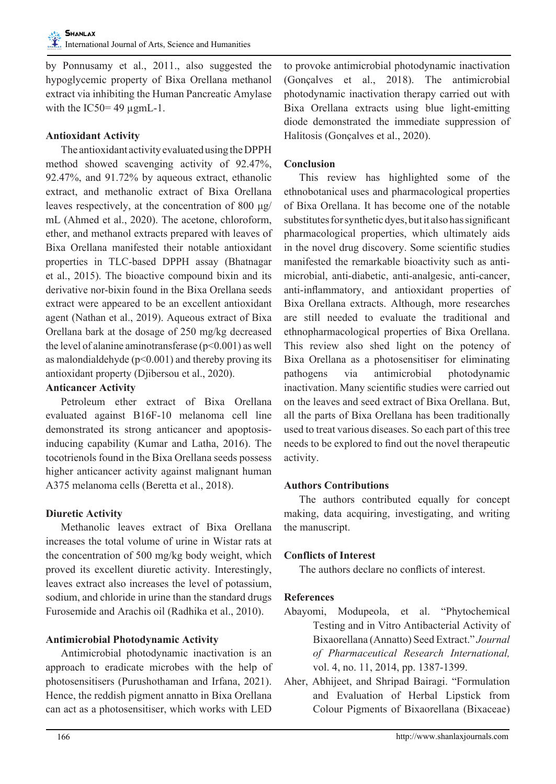by Ponnusamy et al., 2011., also suggested the hypoglycemic property of Bixa Orellana methanol extract via inhibiting the Human Pancreatic Amylase with the IC50= $49 \mu$ gmL-1.

## **Antioxidant Activity**

The antioxidant activity evaluated using the DPPH method showed scavenging activity of 92.47%, 92.47%, and 91.72% by aqueous extract, ethanolic extract, and methanolic extract of Bixa Orellana leaves respectively, at the concentration of 800 μg/ mL (Ahmed et al., 2020). The acetone, chloroform, ether, and methanol extracts prepared with leaves of Bixa Orellana manifested their notable antioxidant properties in TLC-based DPPH assay (Bhatnagar et al., 2015). The bioactive compound bixin and its derivative nor-bixin found in the Bixa Orellana seeds extract were appeared to be an excellent antioxidant agent (Nathan et al., 2019). Aqueous extract of Bixa Orellana bark at the dosage of 250 mg/kg decreased the level of alanine aminotransferase  $(p<0.001)$  as well as malondialdehyde ( $p<0.001$ ) and thereby proving its antioxidant property (Djibersou et al., 2020).

#### **Anticancer Activity**

Petroleum ether extract of Bixa Orellana evaluated against B16F-10 melanoma cell line demonstrated its strong anticancer and apoptosisinducing capability (Kumar and Latha, 2016). The tocotrienols found in the Bixa Orellana seeds possess higher anticancer activity against malignant human A375 melanoma cells (Beretta et al., 2018).

## **Diuretic Activity**

Methanolic leaves extract of Bixa Orellana increases the total volume of urine in Wistar rats at the concentration of 500 mg/kg body weight, which proved its excellent diuretic activity. Interestingly, leaves extract also increases the level of potassium, sodium, and chloride in urine than the standard drugs Furosemide and Arachis oil (Radhika et al., 2010).

# **Antimicrobial Photodynamic Activity**

Antimicrobial photodynamic inactivation is an approach to eradicate microbes with the help of photosensitisers (Purushothaman and Irfana, 2021). Hence, the reddish pigment annatto in Bixa Orellana can act as a photosensitiser, which works with LED

to provoke antimicrobial photodynamic inactivation (Gonçalves et al., 2018). The antimicrobial photodynamic inactivation therapy carried out with Bixa Orellana extracts using blue light-emitting diode demonstrated the immediate suppression of Halitosis (Gonçalves et al., 2020).

## **Conclusion**

This review has highlighted some of the ethnobotanical uses and pharmacological properties of Bixa Orellana. It has become one of the notable substitutes for synthetic dyes, but it also has significant pharmacological properties, which ultimately aids in the novel drug discovery. Some scientific studies manifested the remarkable bioactivity such as antimicrobial, anti-diabetic, anti-analgesic, anti-cancer, anti-inflammatory, and antioxidant properties of Bixa Orellana extracts. Although, more researches are still needed to evaluate the traditional and ethnopharmacological properties of Bixa Orellana. This review also shed light on the potency of Bixa Orellana as a photosensitiser for eliminating pathogens via antimicrobial photodynamic inactivation. Many scientific studies were carried out on the leaves and seed extract of Bixa Orellana. But, all the parts of Bixa Orellana has been traditionally used to treat various diseases. So each part of this tree needs to be explored to find out the novel therapeutic activity.

## **Authors Contributions**

The authors contributed equally for concept making, data acquiring, investigating, and writing the manuscript.

# **Conflicts of Interest**

The authors declare no conflicts of interest.

# **References**

- Abayomi, Modupeola, et al. "Phytochemical Testing and in Vitro Antibacterial Activity of Bixaorellana (Annatto) Seed Extract." *Journal of Pharmaceutical Research International,* vol. 4, no. 11, 2014, pp. 1387-1399.
- Aher, Abhijeet, and Shripad Bairagi. "Formulation and Evaluation of Herbal Lipstick from Colour Pigments of Bixaorellana (Bixaceae)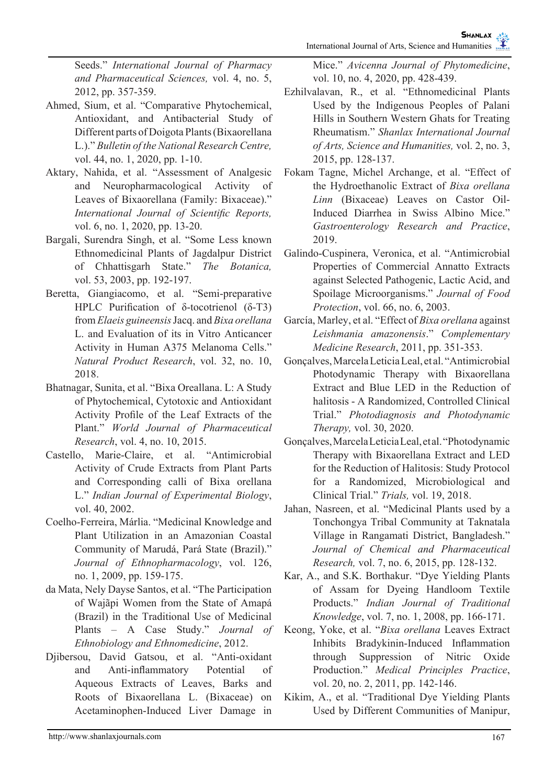Seeds." *International Journal of Pharmacy and Pharmaceutical Sciences,* vol. 4, no. 5, 2012, pp. 357-359.

- Ahmed, Sium, et al. "Comparative Phytochemical, Antioxidant, and Antibacterial Study of Different parts of Doigota Plants (Bixaorellana L.)." *Bulletin of the National Research Centre,* vol. 44, no. 1, 2020, pp. 1-10.
- Aktary, Nahida, et al. "Assessment of Analgesic and Neuropharmacological Activity of Leaves of Bixaorellana (Family: Bixaceae)." *International Journal of Scientific Reports,* vol. 6, no. 1, 2020, pp. 13-20.
- Bargali, Surendra Singh, et al. "Some Less known Ethnomedicinal Plants of Jagdalpur District of Chhattisgarh State." *The Botanica,* vol. 53, 2003, pp. 192-197.
- Beretta, Giangiacomo, et al. "Semi-preparative HPLC Purification of δ-tocotrienol (δ-T3) from *Elaeis guineensis* Jacq. and *Bixa orellana*  L. and Evaluation of its in Vitro Anticancer Activity in Human A375 Melanoma Cells." *Natural Product Research*, vol. 32, no. 10, 2018.
- Bhatnagar, Sunita, et al. "Bixa Oreallana. L: A Study of Phytochemical, Cytotoxic and Antioxidant Activity Profile of the Leaf Extracts of the Plant." *World Journal of Pharmaceutical Research*, vol. 4, no. 10, 2015.
- Castello, Marie-Claire, et al. "Antimicrobial Activity of Crude Extracts from Plant Parts and Corresponding calli of Bixa orellana L." *Indian Journal of Experimental Biology*, vol. 40, 2002.
- Coelho-Ferreira, Márlia. "Medicinal Knowledge and Plant Utilization in an Amazonian Coastal Community of Marudá, Pará State (Brazil)." *Journal of Ethnopharmacology*, vol. 126, no. 1, 2009, pp. 159-175.
- da Mata, Nely Dayse Santos, et al. "The Participation of Wajãpi Women from the State of Amapá (Brazil) in the Traditional Use of Medicinal Plants – A Case Study." *Journal of Ethnobiology and Ethnomedicine*, 2012.
- Djibersou, David Gatsou, et al. "Anti-oxidant and Anti-inflammatory Potential of Aqueous Extracts of Leaves, Barks and Roots of Bixaorellana L. (Bixaceae) on Acetaminophen-Induced Liver Damage in

Mice." *Avicenna Journal of Phytomedicine*, vol. 10, no. 4, 2020, pp. 428-439.

- Ezhilvalavan, R., et al. "Ethnomedicinal Plants Used by the Indigenous Peoples of Palani Hills in Southern Western Ghats for Treating Rheumatism." *Shanlax International Journal of Arts, Science and Humanities,* vol. 2, no. 3, 2015, pp. 128-137.
- Fokam Tagne, Michel Archange, et al. "Effect of the Hydroethanolic Extract of *Bixa orellana Linn* (Bixaceae) Leaves on Castor Oil-Induced Diarrhea in Swiss Albino Mice." *Gastroenterology Research and Practice*, 2019.
- Galindo-Cuspinera, Veronica, et al. "Antimicrobial Properties of Commercial Annatto Extracts against Selected Pathogenic, Lactic Acid, and Spoilage Microorganisms." *Journal of Food Protection*, vol. 66, no. 6, 2003.
- García, Marley, et al. "Effect of *Bixa orellana* against *Leishmania amazonensis*." *Complementary Medicine Research*, 2011, pp. 351-353.
- Gonçalves, Marcela Leticia Leal, et al. "Antimicrobial Photodynamic Therapy with Bixaorellana Extract and Blue LED in the Reduction of halitosis - A Randomized, Controlled Clinical Trial." *Photodiagnosis and Photodynamic Therapy,* vol. 30, 2020.
- Gonçalves, Marcela Leticia Leal, et al. "Photodynamic Therapy with Bixaorellana Extract and LED for the Reduction of Halitosis: Study Protocol for a Randomized, Microbiological and Clinical Trial." *Trials,* vol. 19, 2018.
- Jahan, Nasreen, et al. "Medicinal Plants used by a Tonchongya Tribal Community at Taknatala Village in Rangamati District, Bangladesh." *Journal of Chemical and Pharmaceutical Research,* vol. 7, no. 6, 2015, pp. 128-132.
- Kar, A., and S.K. Borthakur. "Dye Yielding Plants of Assam for Dyeing Handloom Textile Products." *Indian Journal of Traditional Knowledge*, vol. 7, no. 1, 2008, pp. 166-171.
- Keong, Yoke, et al. "*Bixa orellana* Leaves Extract Inhibits Bradykinin-Induced Inflammation through Suppression of Nitric Oxide Production." *Medical Principles Practice*, vol. 20, no. 2, 2011, pp. 142-146.
- Kikim, A., et al. "Traditional Dye Yielding Plants Used by Different Communities of Manipur,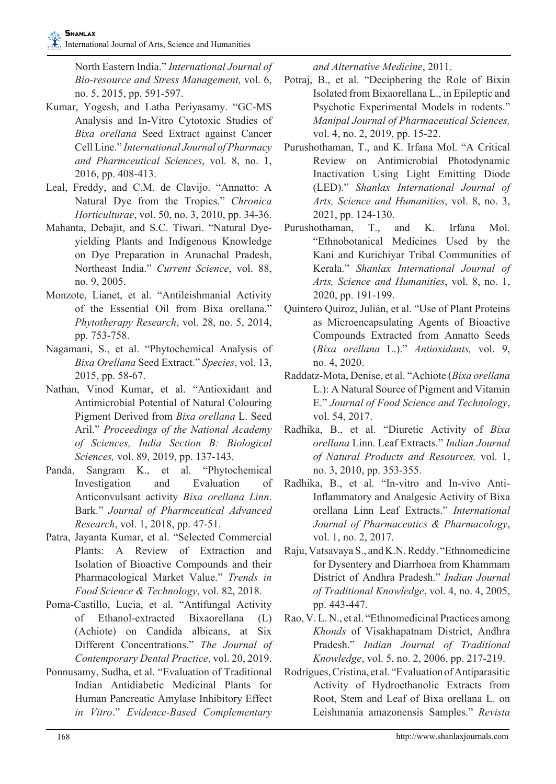North Eastern India." *International Journal of Bio-resource and Stress Management,* vol. 6, no. 5, 2015, pp. 591-597.

- Kumar, Yogesh, and Latha Periyasamy. "GC-MS Analysis and In-Vitro Cytotoxic Studies of *Bixa orellana* Seed Extract against Cancer Cell Line." *International Journal of Pharmacy and Pharmceutical Sciences*, vol. 8, no. 1, 2016, pp. 408-413.
- Leal, Freddy, and C.M. de Clavijo. "Annatto: A Natural Dye from the Tropics." *Chronica Horticulturae*, vol. 50, no. 3, 2010, pp. 34-36.
- Mahanta, Debajit, and S.C. Tiwari. "Natural Dyeyielding Plants and Indigenous Knowledge on Dye Preparation in Arunachal Pradesh, Northeast India." *Current Science*, vol. 88, no. 9, 2005.
- Monzote, Lianet, et al. "Antileishmanial Activity of the Essential Oil from Bixa orellana." *Phytotherapy Research*, vol. 28, no. 5, 2014, pp. 753-758.
- Nagamani, S., et al. "Phytochemical Analysis of *Bixa Orellana* Seed Extract." *Species*, vol. 13, 2015, pp. 58-67.
- Nathan, Vinod Kumar, et al. "Antioxidant and Antimicrobial Potential of Natural Colouring Pigment Derived from *Bixa orellana* L. Seed Aril." *Proceedings of the National Academy of Sciences, India Section B: Biological Sciences,* vol. 89, 2019, pp. 137-143.
- Panda, Sangram K., et al. "Phytochemical Investigation and Evaluation of Anticonvulsant activity *Bixa orellana Linn*. Bark." *Journal of Pharmceutical Advanced Research*, vol. 1, 2018, pp. 47-51.
- Patra, Jayanta Kumar, et al. "Selected Commercial Plants: A Review of Extraction and Isolation of Bioactive Compounds and their Pharmacological Market Value." *Trends in Food Science & Technology*, vol. 82, 2018.
- Poma-Castillo, Lucia, et al. "Antifungal Activity of Ethanol-extracted Bixaorellana (L) (Achiote) on Candida albicans, at Six Different Concentrations." *The Journal of Contemporary Dental Practice*, vol. 20, 2019.
- Ponnusamy, Sudha, et al. "Evaluation of Traditional Indian Antidiabetic Medicinal Plants for Human Pancreatic Amylase Inhibitory Effect *in Vitro*." *Evidence-Based Complementary*

*and Alternative Medicine*, 2011.

- Potraj, B., et al. "Deciphering the Role of Bixin Isolated from Bixaorellana L., in Epileptic and Psychotic Experimental Models in rodents." *Manipal Journal of Pharmaceutical Sciences,*  vol. 4, no. 2, 2019, pp. 15-22.
- Purushothaman, T., and K. Irfana Mol. "A Critical Review on Antimicrobial Photodynamic Inactivation Using Light Emitting Diode (LED)." *Shanlax International Journal of Arts, Science and Humanities*, vol. 8, no. 3, 2021, pp. 124-130.
- Purushothaman, T., and K. Irfana Mol. "Ethnobotanical Medicines Used by the Kani and Kurichiyar Tribal Communities of Kerala." *Shanlax International Journal of Arts, Science and Humanities*, vol. 8, no. 1, 2020, pp. 191-199.
- Quintero Quiroz, Julián, et al. "Use of Plant Proteins as Microencapsulating Agents of Bioactive Compounds Extracted from Annatto Seeds (*Bixa orellana* L.)." *Antioxidants,* vol. 9, no. 4, 2020.
- Raddatz-Mota, Denise, et al. "Achiote (*Bixa orellana*  L.): A Natural Source of Pigment and Vitamin E." *Journal of Food Science and Technology*, vol. 54, 2017.
- Radhika, B., et al. "Diuretic Activity of *Bixa orellana* Linn. Leaf Extracts." *Indian Journal of Natural Products and Resources,* vol. 1, no. 3, 2010, pp. 353-355.
- Radhika, B., et al. "In-vitro and In-vivo Anti-Inflammatory and Analgesic Activity of Bixa orellana Linn Leaf Extracts." *International Journal of Pharmaceutics & Pharmacology*, vol. 1, no. 2, 2017.
- Raju, Vatsavaya S., and K.N. Reddy. "Ethnomedicine for Dysentery and Diarrhoea from Khammam District of Andhra Pradesh." *Indian Journal of Traditional Knowledge*, vol. 4, no. 4, 2005, pp. 443-447.
- Rao, V. L. N., et al. "Ethnomedicinal Practices among *Khonds* of Visakhapatnam District, Andhra Pradesh." *Indian Journal of Traditional Knowledge*, vol. 5, no. 2, 2006, pp. 217-219.
- Rodrigues, Cristina, et al. "Evaluation of Antiparasitic Activity of Hydroethanolic Extracts from Root, Stem and Leaf of Bixa orellana L. on Leishmania amazonensis Samples." *Revista*